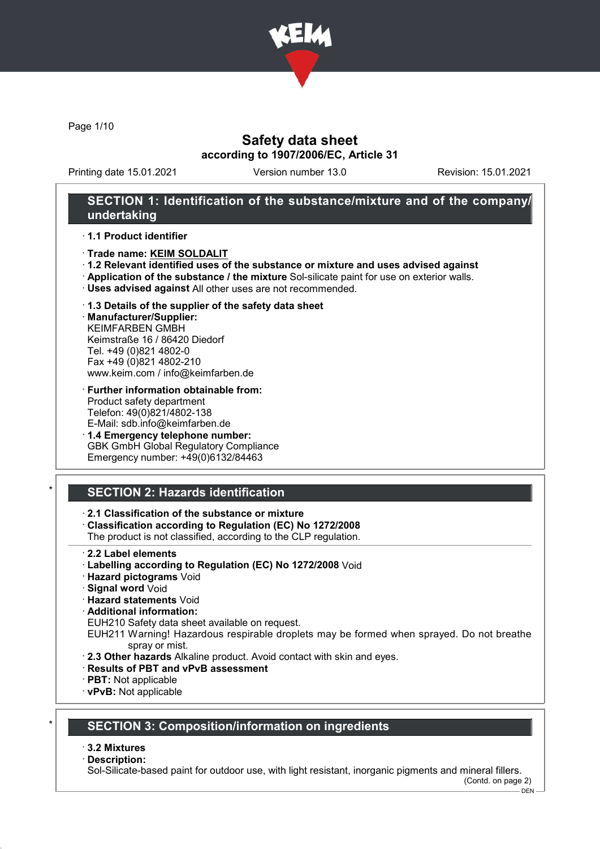

Page 1/10

### Safety data sheet according to 1907/2006/EC, Article 31

Printing date 15.01.2021 Version number 13.0 Revision: 15.01.2021

# SECTION 1: Identification of the substance/mixture and of the company/ undertaking

#### · 1.1 Product identifier

- · Trade name: KEIM SOLDALIT
- · 1.2 Relevant identified uses of the substance or mixture and uses advised against
- · Application of the substance / the mixture Sol-silicate paint for use on exterior walls.
- · Uses advised against All other uses are not recommended.

#### · 1.3 Details of the supplier of the safety data sheet

· Manufacturer/Supplier: KEIMFARBEN GMBH Keimstraße 16 / 86420 Diedorf Tel. +49 (0)821 4802-0 Fax +49 (0)821 4802-210 www.keim.com / info@keimfarben.de

- · Further information obtainable from: Product safety department Telefon: 49(0)821/4802-138 E-Mail: sdb.info@keimfarben.de
- · 1.4 Emergency telephone number: GBK GmbH Global Regulatory Compliance Emergency number: +49(0)6132/84463

# **SECTION 2: Hazards identification**

#### · 2.1 Classification of the substance or mixture

· Classification according to Regulation (EC) No 1272/2008

The product is not classified, according to the CLP regulation.

- 2.2 Label elements
- · Labelling according to Regulation (EC) No 1272/2008 Void
- · Hazard pictograms Void
- · Signal word Void
- · Hazard statements Void
- · Additional information:

EUH210 Safety data sheet available on request.

- EUH211 Warning! Hazardous respirable droplets may be formed when sprayed. Do not breathe spray or mist.
- · 2.3 Other hazards Alkaline product. Avoid contact with skin and eyes.
- · Results of PBT and vPvB assessment
- · PBT: Not applicable
- · vPvB: Not applicable

# **SECTION 3: Composition/information on ingredients**

#### · 3.2 Mixtures

· Description:

Sol-Silicate-based paint for outdoor use, with light resistant, inorganic pigments and mineral fillers.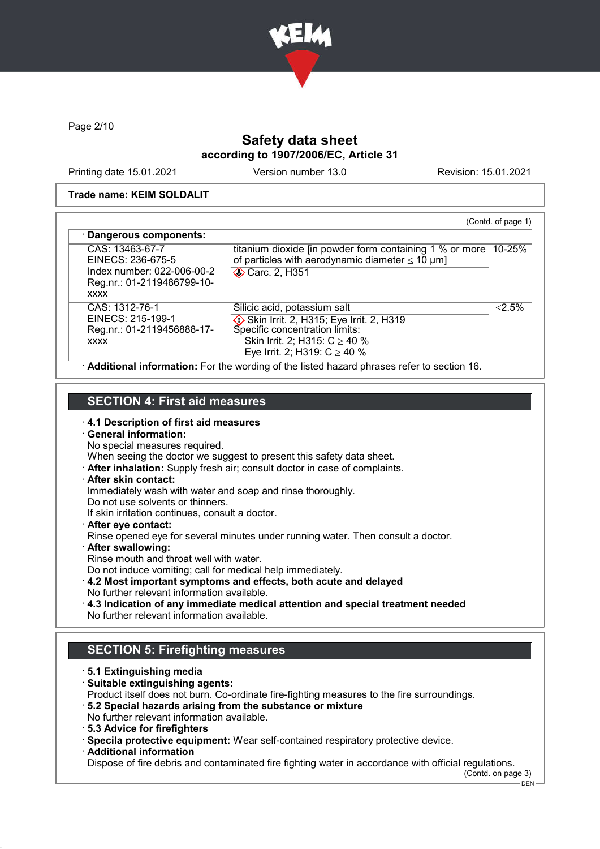

Page 2/10

# Safety data sheet according to 1907/2006/EC, Article 31

Printing date 15.01.2021 Version number 13.0 Revision: 15.01.2021

#### Trade name: KEIM SOLDALIT

| CAS: 13463-67-7                                                         | titanium dioxide [in powder form containing 1 % or more] | 10-25%    |
|-------------------------------------------------------------------------|----------------------------------------------------------|-----------|
| EINECS: 236-675-5                                                       | of particles with aerodynamic diameter $\leq 10 \mu m$ ] |           |
| Index number: 022-006-00-2<br>Reg.nr.: 01-2119486799-10-<br><b>XXXX</b> | <b>◆ Carc. 2, H351</b>                                   |           |
| CAS: 1312-76-1                                                          | Silicic acid, potassium salt                             | $< 2.5\%$ |
| EINECS: 215-199-1                                                       | Skin Irrit. 2, H315; Eye Irrit. 2, H319                  |           |
| Reg.nr.: 01-2119456888-17-                                              | Specific concentration limits:                           |           |
| <b>XXXX</b>                                                             | Skin Irrit. 2; H315: $C \ge 40$ %                        |           |
|                                                                         | Eye Irrit. 2; H319: $C \ge 40$ %                         |           |

### SECTION 4: First aid measures

· 4.1 Description of first aid measures

# · General information:

- No special measures required.
- When seeing the doctor we suggest to present this safety data sheet.
- · After inhalation: Supply fresh air; consult doctor in case of complaints.

#### · After skin contact:

- Immediately wash with water and soap and rinse thoroughly.
- Do not use solvents or thinners.
- If skin irritation continues, consult a doctor.
- · After eye contact:
- Rinse opened eye for several minutes under running water. Then consult a doctor.
- · After swallowing:
- Rinse mouth and throat well with water.
- Do not induce vomiting; call for medical help immediately.
- · 4.2 Most important symptoms and effects, both acute and delayed No further relevant information available.
- · 4.3 Indication of any immediate medical attention and special treatment needed No further relevant information available.

# SECTION 5: Firefighting measures

- · 5.1 Extinguishing media
- · Suitable extinguishing agents:
- Product itself does not burn. Co-ordinate fire-fighting measures to the fire surroundings.
- · 5.2 Special hazards arising from the substance or mixture No further relevant information available.
- · 5.3 Advice for firefighters
- · Specila protective equipment: Wear self-contained respiratory protective device.
- · Additional information

Dispose of fire debris and contaminated fire fighting water in accordance with official regulations.

(Contd. on page 3)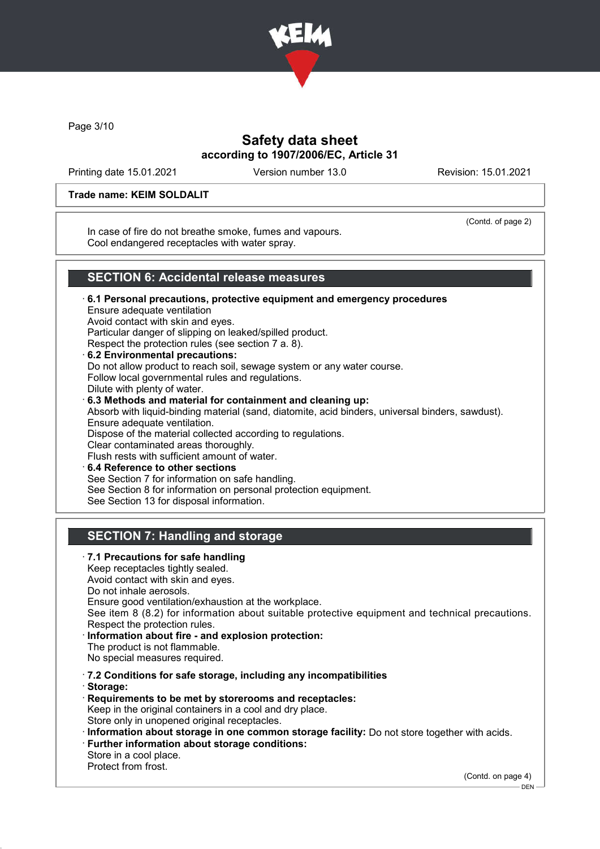

Page 3/10

# Safety data sheet according to 1907/2006/EC, Article 31

Printing date 15.01.2021 Version number 13.0 Revision: 15.01.2021

#### Trade name: KEIM SOLDALIT

In case of fire do not breathe smoke, fumes and vapours. Cool endangered receptacles with water spray.

(Contd. of page 2)

### SECTION 6: Accidental release measures

· 6.1 Personal precautions, protective equipment and emergency procedures Ensure adequate ventilation Avoid contact with skin and eyes. Particular danger of slipping on leaked/spilled product. Respect the protection rules (see section 7 a. 8). · 6.2 Environmental precautions: Do not allow product to reach soil, sewage system or any water course. Follow local governmental rules and regulations. Dilute with plenty of water. · 6.3 Methods and material for containment and cleaning up: Absorb with liquid-binding material (sand, diatomite, acid binders, universal binders, sawdust). Ensure adequate ventilation.

Dispose of the material collected according to regulations.

Clear contaminated areas thoroughly.

Flush rests with sufficient amount of water.

· 6.4 Reference to other sections

See Section 7 for information on safe handling.

See Section 8 for information on personal protection equipment.

See Section 13 for disposal information.

# SECTION 7: Handling and storage

· 7.1 Precautions for safe handling Keep receptacles tightly sealed. Avoid contact with skin and eyes. Do not inhale aerosols. Ensure good ventilation/exhaustion at the workplace. See item 8 (8.2) for information about suitable protective equipment and technical precautions. Respect the protection rules. · Information about fire - and explosion protection: The product is not flammable. No special measures required. · 7.2 Conditions for safe storage, including any incompatibilities · Storage: · Requirements to be met by storerooms and receptacles: Keep in the original containers in a cool and dry place. Store only in unopened original receptacles. · Information about storage in one common storage facility: Do not store together with acids. · Further information about storage conditions: Store in a cool place. Protect from frost.

(Contd. on page 4)

DEN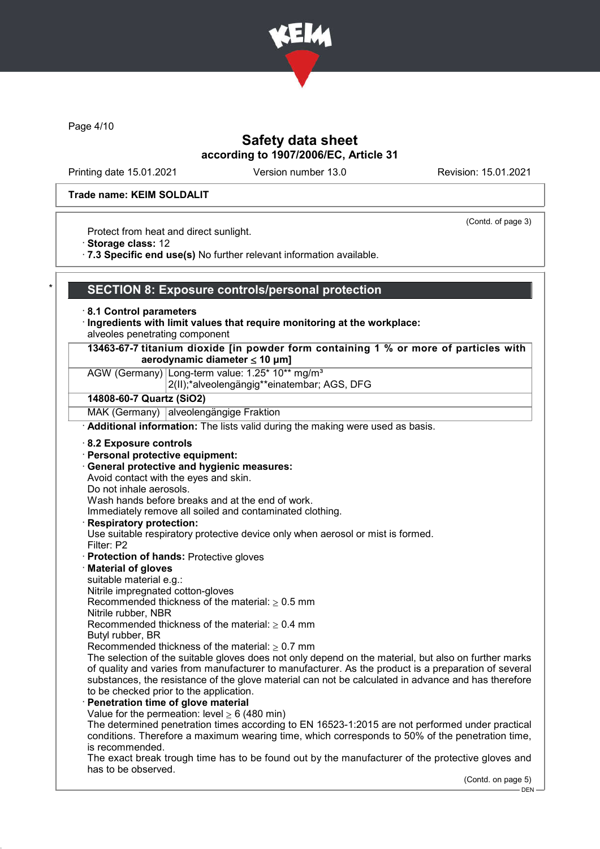

Page 4/10

# Safety data sheet according to 1907/2006/EC, Article 31

Printing date 15.01.2021 Version number 13.0 Revision: 15.01.2021

(Contd. of page 3)

#### Trade name: KEIM SOLDALIT

Protect from heat and direct sunlight.

· Storage class: 12

· 7.3 Specific end use(s) No further relevant information available.

#### SECTION 8: Exposure controls/personal protection

- · 8.1 Control parameters
- · Ingredients with limit values that require monitoring at the workplace: alveoles penetrating component
- 13463-67-7 titanium dioxide [in powder form containing 1 % or more of particles with aerodynamic diameter  $\leq 10 \text{ }\mu\text{m}$ ]

# AGW (Germany) Long-term value: 1.25\* 10\*\* ma/m<sup>3</sup>

2(II);\*alveolengängig\*\*einatembar; AGS, DFG

#### 14808-60-7 Quartz (SiO2)

MAK (Germany) alveolengängige Fraktion

· Additional information: The lists valid during the making were used as basis.

- · 8.2 Exposure controls
- · Personal protective equipment:
- · General protective and hygienic measures:

Avoid contact with the eyes and skin.

Do not inhale aerosols.

Wash hands before breaks and at the end of work.

Immediately remove all soiled and contaminated clothing.

#### **Respiratory protection:**

Use suitable respiratory protective device only when aerosol or mist is formed.

- Filter: P2
- · Protection of hands: Protective gloves

#### · Material of gloves

suitable material e.g.:

Nitrile impregnated cotton-gloves

Recommended thickness of the material:  $> 0.5$  mm

Nitrile rubber, NBR

Recommended thickness of the material:  $> 0.4$  mm

- Butyl rubber, BR
- Recommended thickness of the material:  $\geq 0.7$  mm

The selection of the suitable gloves does not only depend on the material, but also on further marks of quality and varies from manufacturer to manufacturer. As the product is a preparation of several substances, the resistance of the glove material can not be calculated in advance and has therefore to be checked prior to the application.

#### Penetration time of glove material

Value for the permeation: level  $> 6$  (480 min)

The determined penetration times according to EN 16523-1:2015 are not performed under practical conditions. Therefore a maximum wearing time, which corresponds to 50% of the penetration time, is recommended.

The exact break trough time has to be found out by the manufacturer of the protective gloves and has to be observed.

(Contd. on page 5)

DEN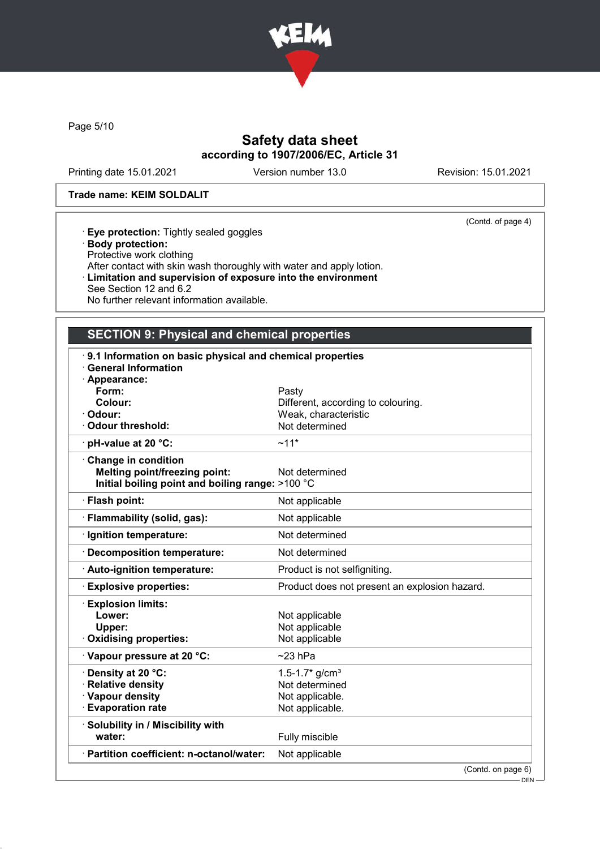

Page 5/10

# Safety data sheet according to 1907/2006/EC, Article 31

Printing date 15.01.2021 Version number 13.0 Revision: 15.01.2021

(Contd. of page 4)

#### Trade name: KEIM SOLDALIT

|  | <b>Eye protection:</b> Tightly sealed goggles |  |
|--|-----------------------------------------------|--|
|  |                                               |  |

- · Body protection:
- Protective work clothing
- After contact with skin wash thoroughly with water and apply lotion.
- · Limitation and supervision of exposure into the environment
- See Section 12 and 6.2 No further relevant information available.

# SECTION 9: Physical and chemical properties

| 9.1 Information on basic physical and chemical properties |                                               |
|-----------------------------------------------------------|-----------------------------------------------|
| <b>General Information</b>                                |                                               |
| · Appearance:                                             |                                               |
| Form:                                                     | Pasty                                         |
| Colour:                                                   | Different, according to colouring.            |
| Odour:                                                    | Weak, characteristic                          |
| Odour threshold:                                          | Not determined                                |
| · pH-value at 20 °C:                                      | $~11*$                                        |
| Change in condition                                       |                                               |
| <b>Melting point/freezing point:</b>                      | Not determined                                |
| Initial boiling point and boiling range: >100 °C          |                                               |
| · Flash point:                                            | Not applicable                                |
| · Flammability (solid, gas):                              | Not applicable                                |
| · Ignition temperature:                                   | Not determined                                |
| · Decomposition temperature:                              | Not determined                                |
| · Auto-ignition temperature:                              | Product is not selfigniting.                  |
| <b>Explosive properties:</b>                              | Product does not present an explosion hazard. |
| <b>Explosion limits:</b>                                  |                                               |
| Lower:                                                    | Not applicable                                |
| Upper:                                                    | Not applicable                                |
| Oxidising properties:                                     | Not applicable                                |
| Vapour pressure at 20 °C:                                 | $~23$ hPa                                     |
| <b>· Density at 20 °C:</b>                                | $1.5 - 1.7$ * g/cm <sup>3</sup>               |
| · Relative density                                        | Not determined                                |
| · Vapour density                                          | Not applicable.                               |
| <b>Evaporation rate</b>                                   | Not applicable.                               |
| · Solubility in / Miscibility with                        |                                               |
| water:                                                    | Fully miscible                                |
| · Partition coefficient: n-octanol/water:                 | Not applicable                                |
|                                                           | (Contd. on page 6)                            |

- DEN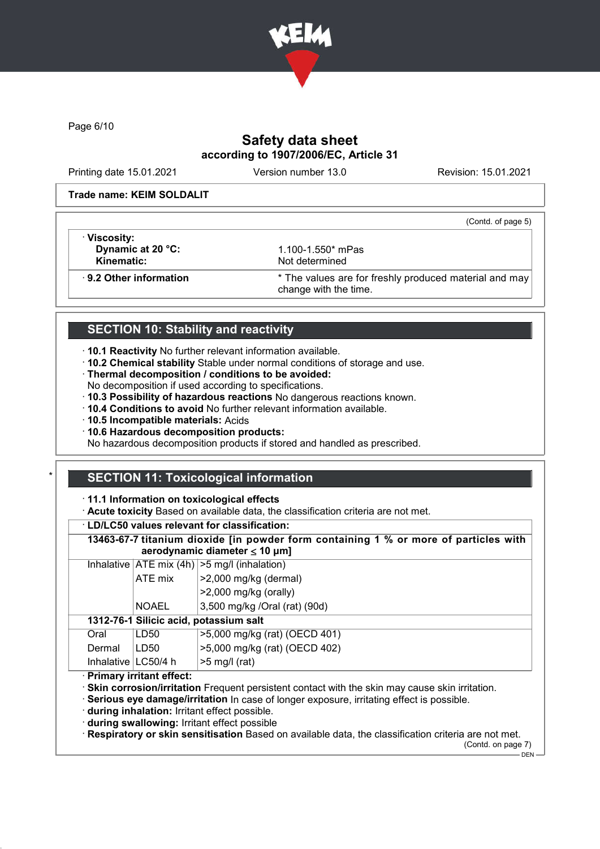

Page 6/10

# Safety data sheet according to 1907/2006/EC, Article 31

Printing date 15.01.2021 Version number 13.0 Revision: 15.01.2021

(Contd. of page 5)

#### Trade name: KEIM SOLDALIT

· Viscosity: **Dynamic at 20 °C:** 1.100-1.550<sup>\*</sup> mPas<br> **Kinematic:** Not determined

Not determined

· 9.2 Other information \* The values are for freshly produced material and may change with the time.

# SECTION 10: Stability and reactivity

- · 10.1 Reactivity No further relevant information available.
- · 10.2 Chemical stability Stable under normal conditions of storage and use.
- · Thermal decomposition / conditions to be avoided:
- No decomposition if used according to specifications.
- · 10.3 Possibility of hazardous reactions No dangerous reactions known.
- · 10.4 Conditions to avoid No further relevant information available.
- · 10.5 Incompatible materials: Acids
- · 10.6 Hazardous decomposition products:

No hazardous decomposition products if stored and handled as prescribed.

# **SECTION 11: Toxicological information**

· 11.1 Information on toxicological effects

· Acute toxicity Based on available data, the classification criteria are not met.

#### · LD/LC50 values relevant for classification:

13463-67-7 titanium dioxide [in powder form containing 1 % or more of particles with aerodynamic diameter ≤ 10 μm]

|                                        |                                  | Inhalative $ ATE \text{ mix } (4h)  > 5 \text{ mg/l } (inhalation)$ |  |
|----------------------------------------|----------------------------------|---------------------------------------------------------------------|--|
|                                        | >2,000 mg/kg (dermal)<br>ATE mix |                                                                     |  |
|                                        |                                  | $>2,000$ mg/kg (orally)                                             |  |
|                                        | <b>NOAEL</b>                     | 3,500 mg/kg /Oral (rat) (90d)                                       |  |
| 1312-76-1 Silicic acid, potassium salt |                                  |                                                                     |  |
| Oral                                   | LD50                             | >5,000 mg/kg (rat) (OECD 401)                                       |  |
| Dermal                                 | LD50                             | >5,000 mg/kg (rat) (OECD 402)                                       |  |
| Inhalative   LC50/4 h                  |                                  | $>5$ mg/l (rat)                                                     |  |
| <b>Primary irritant effect:</b>        |                                  |                                                                     |  |

· Primary irritant effect:

· Skin corrosion/irritation Frequent persistent contact with the skin may cause skin irritation.

· Serious eye damage/irritation In case of longer exposure, irritating effect is possible.

· during inhalation: Irritant effect possible.

· during swallowing: Irritant effect possible

· Respiratory or skin sensitisation Based on available data, the classification criteria are not met.

(Contd. on page 7)  $-$  DEN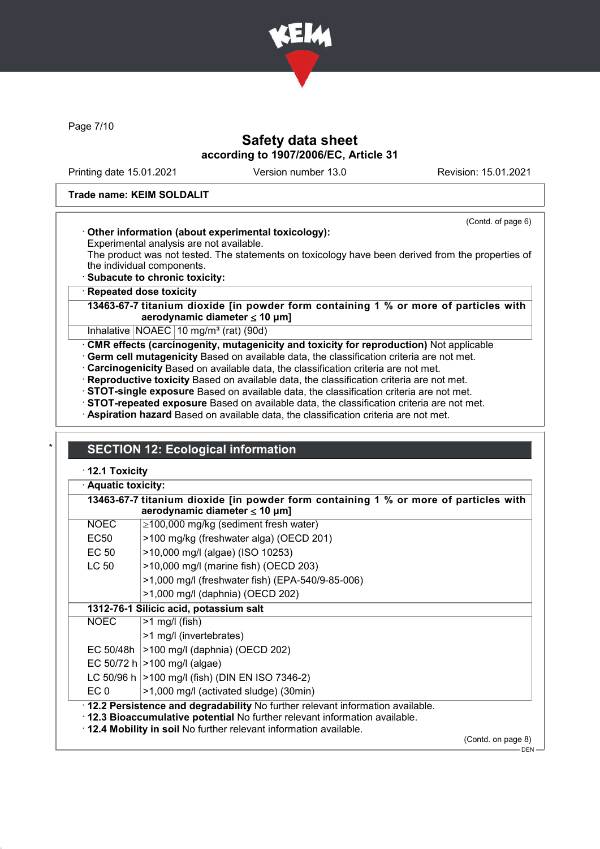

Page 7/10

# Safety data sheet according to 1907/2006/EC, Article 31

Printing date 15.01.2021 Version number 13.0 Revision: 15.01.2021

(Contd. of page 6)

#### Trade name: KEIM SOLDALIT

#### · Other information (about experimental toxicology):

Experimental analysis are not available.

The product was not tested. The statements on toxicology have been derived from the properties of the individual components.

· Subacute to chronic toxicity:

#### **Repeated dose toxicity**

13463-67-7 titanium dioxide [in powder form containing 1 % or more of particles with aerodynamic diameter ≤ 10 μm]

Inhalative  $NOAEC$  10 mg/m<sup>3</sup> (rat) (90d)

· CMR effects (carcinogenity, mutagenicity and toxicity for reproduction) Not applicable

· Germ cell mutagenicity Based on available data, the classification criteria are not met.

- · Carcinogenicity Based on available data, the classification criteria are not met.
- · Reproductive toxicity Based on available data, the classification criteria are not met.

· STOT-single exposure Based on available data, the classification criteria are not met.

· STOT-repeated exposure Based on available data, the classification criteria are not met.

· Aspiration hazard Based on available data, the classification criteria are not met.

# **SECTION 12: Ecological information**

· 12.1 Toxicity

|                  | 13463-67-7 titanium dioxide [in powder form containing 1 % or more of particles with<br>aerodynamic diameter $\leq 10 \mu m$ ]                                                                                                       |                    |  |  |  |
|------------------|--------------------------------------------------------------------------------------------------------------------------------------------------------------------------------------------------------------------------------------|--------------------|--|--|--|
| NOEC             | $\geq$ 100,000 mg/kg (sediment fresh water)                                                                                                                                                                                          |                    |  |  |  |
| EC <sub>50</sub> | >100 mg/kg (freshwater alga) (OECD 201)                                                                                                                                                                                              |                    |  |  |  |
| EC 50            | >10,000 mg/l (algae) (ISO 10253)                                                                                                                                                                                                     |                    |  |  |  |
| LC 50            | >10,000 mg/l (marine fish) (OECD 203)                                                                                                                                                                                                |                    |  |  |  |
|                  | >1,000 mg/l (freshwater fish) (EPA-540/9-85-006)                                                                                                                                                                                     |                    |  |  |  |
|                  | >1,000 mg/l (daphnia) (OECD 202)                                                                                                                                                                                                     |                    |  |  |  |
|                  | 1312-76-1 Silicic acid, potassium salt                                                                                                                                                                                               |                    |  |  |  |
| <b>NOEC</b>      | $>1$ mg/l (fish)                                                                                                                                                                                                                     |                    |  |  |  |
|                  | >1 mg/l (invertebrates)                                                                                                                                                                                                              |                    |  |  |  |
|                  | EC 50/48h   > 100 mg/l (daphnia) (OECD 202)                                                                                                                                                                                          |                    |  |  |  |
|                  | EC 50/72 h $ >100$ mg/l (algae)                                                                                                                                                                                                      |                    |  |  |  |
|                  | LC 50/96 h   > 100 mg/l (fish) (DIN EN ISO 7346-2)                                                                                                                                                                                   |                    |  |  |  |
| EC 0             | >1,000 mg/l (activated sludge) (30min)                                                                                                                                                                                               |                    |  |  |  |
|                  | · 12.2 Persistence and degradability No further relevant information available.<br>. 12.3 Bioaccumulative potential No further relevant information available.<br>. 12.4 Mobility in soil No further relevant information available. |                    |  |  |  |
|                  |                                                                                                                                                                                                                                      | (Contd. on page 8) |  |  |  |

DEN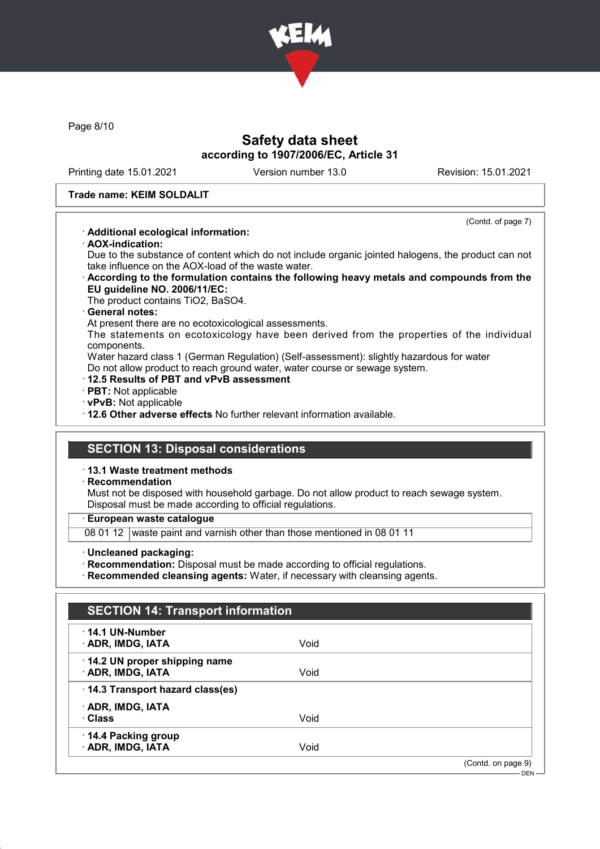

Page 8/10

## Safety data sheet according to 1907/2006/EC, Article 31

Printing date 15.01.2021 Version number 13.0 Revision: 15.01.2021

(Contd. of page 7)

#### Trade name: KEIM SOLDALIT

#### · Additional ecological information:

· AOX-indication:

Due to the substance of content which do not include organic jointed halogens, the product can not take influence on the AOX-load of the waste water.

· According to the formulation contains the following heavy metals and compounds from the EU guideline NO. 2006/11/EC:

The product contains TiO2, BaSO4.

#### · General notes:

At present there are no ecotoxicological assessments.

The statements on ecotoxicology have been derived from the properties of the individual components.

Water hazard class 1 (German Regulation) (Self-assessment): slightly hazardous for water Do not allow product to reach ground water, water course or sewage system.

- · 12.5 Results of PBT and vPvB assessment
- · PBT: Not applicable
- · vPvB: Not applicable

· 12.6 Other adverse effects No further relevant information available.

# SECTION 13: Disposal considerations

· 13.1 Waste treatment methods

#### · Recommendation

Must not be disposed with household garbage. Do not allow product to reach sewage system. Disposal must be made according to official regulations.

· European waste catalogue

08 01 12 waste paint and varnish other than those mentioned in 08 01 11

· Uncleaned packaging:

· Recommendation: Disposal must be made according to official regulations.

· Recommended cleansing agents: Water, if necessary with cleansing agents.

| $\cdot$ 14.1 UN-Number          |      |                    |
|---------------------------------|------|--------------------|
| <b>ADR, IMDG, IATA</b>          | Void |                    |
| 14.2 UN proper shipping name    |      |                    |
| · ADR, IMDG, IATA               | Void |                    |
| 14.3 Transport hazard class(es) |      |                    |
| · ADR, IMDG, IATA               |      |                    |
| · Class                         | Void |                    |
| 14.4 Packing group              |      |                    |
| · ADR, IMDG, IATA               | Void |                    |
|                                 |      | (Contd. on page 9) |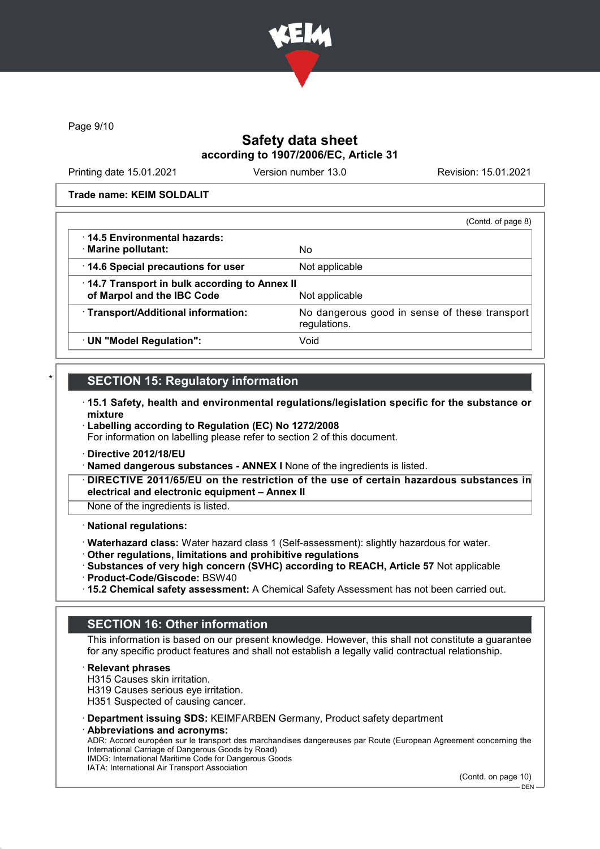

Page 9/10

### Safety data sheet according to 1907/2006/EC, Article 31

Printing date 15.01.2021 Version number 13.0 Revision: 15.01.2021

Trade name: KEIM SOLDALIT

|                                              | (Contd. of page 8)                                            |
|----------------------------------------------|---------------------------------------------------------------|
| ⋅14.5 Environmental hazards:                 |                                                               |
| · Marine pollutant:                          | No.                                                           |
| 14.6 Special precautions for user            | Not applicable                                                |
| 14.7 Transport in bulk according to Annex II |                                                               |
| of Marpol and the IBC Code                   | Not applicable                                                |
| · Transport/Additional information:          | No dangerous good in sense of these transport<br>regulations. |
| · UN "Model Regulation":                     | Void                                                          |

# **SECTION 15: Regulatory information**

- · 15.1 Safety, health and environmental regulations/legislation specific for the substance or mixture
- · Labelling according to Regulation (EC) No 1272/2008 For information on labelling please refer to section 2 of this document.
- · Directive 2012/18/EU
- · Named dangerous substances ANNEX I None of the ingredients is listed.
- DIRECTIVE 2011/65/EU on the restriction of the use of certain hazardous substances in electrical and electronic equipment – Annex II

None of the ingredients is listed.

#### · National regulations:

- · Waterhazard class: Water hazard class 1 (Self-assessment): slightly hazardous for water.
- · Other regulations, limitations and prohibitive regulations
- · Substances of very high concern (SVHC) according to REACH, Article 57 Not applicable
- · Product-Code/Giscode: BSW40
- · 15.2 Chemical safety assessment: A Chemical Safety Assessment has not been carried out.

### SECTION 16: Other information

This information is based on our present knowledge. However, this shall not constitute a guarantee for any specific product features and shall not establish a legally valid contractual relationship.

**Relevant phrases** 

H315 Causes skin irritation.

H319 Causes serious eye irritation.

H351 Suspected of causing cancer.

- · Department issuing SDS: KEIMFARBEN Germany, Product safety department
- Abbreviations and acronyms:

ADR: Accord européen sur le transport des marchandises dangereuses par Route (European Agreement concerning the International Carriage of Dangerous Goods by Road) IMDG: International Maritime Code for Dangerous Goods

IATA: International Air Transport Association

(Contd. on page 10)

DEN